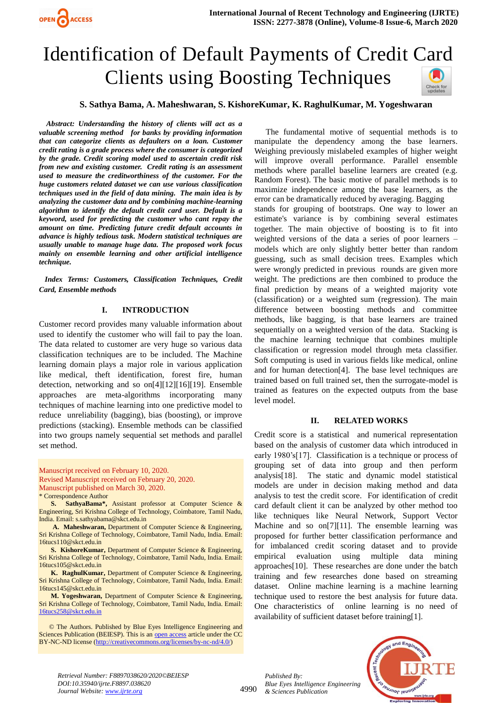

# Identification of Default Payments of Credit Card Clients using Boosting Techniques



# **S. Sathya Bama, A. Maheshwaran, S. KishoreKumar, K. RaghulKumar, M. Yogeshwaran**

 *Abstract: Understanding the history of clients will act as a valuable screening method for banks by providing information that can categorize clients as defaulters on a loan. Customer credit rating is a grade process where the consumer is categorized by the grade. Credit scoring model used to ascertain credit risk from new and existing customer. Credit rating is an assessment used to measure the creditworthiness of the customer. For the huge customers related dataset we can use various classification techniques used in the field of data mining. The main idea is by analyzing the customer data and by combining machine-learning algorithm to identify the default credit card user. Default is a keyword, used for predicting the customer who cant repay the amount on time. Predicting future credit default accounts in advance is highly tedious task. Modern statistical techniques are usually unable to manage huge data. The proposed work focus mainly on ensemble learning and other artificial intelligence technique.*

 *Index Terms: Customers, Classification Techniques, Credit Card, Ensemble methods*

#### **I. INTRODUCTION**

Customer record provides many valuable information about used to identify the customer who will fail to pay the loan. The data related to customer are very huge so various data classification techniques are to be included. The Machine learning domain plays a major role in various application like medical, theft identification, forest fire, human detection, networking and so on[4][12][16][19]. Ensemble approaches are meta-algorithms incorporating many techniques of machine learning into one predictive model to reduce unreliability (bagging), bias (boosting), or improve predictions (stacking). Ensemble methods can be classified into two groups namely sequential set methods and parallel set method.

Manuscript received on February 10, 2020. Revised Manuscript received on February 20, 2020.

Manuscript published on March 30, 2020.

\* Correspondence Author

**S. SathyaBama\*,** Assistant professor at Computer Science & Engineering, Sri Krishna College of Technology, Coimbatore, Tamil Nadu, India. Email: s.sathyabama@skct.edu.in

**A. Maheshwaran,** Department of Computer Science & Engineering, Sri Krishna College of Technology, Coimbatore, Tamil Nadu, India. Email: 16tucs110@skct.edu.in

**S. KishoreKumar,** Department of Computer Science & Engineering, Sri Krishna College of Technology, Coimbatore, Tamil Nadu, India. Email: 16tucs105@skct.edu.in

**K. RaghulKumar,** Department of Computer Science & Engineering, Sri Krishna College of Technology, Coimbatore, Tamil Nadu, India. Email: 16tucs145@skct.edu.in

**M. Yogeshwaran,** Department of Computer Science & Engineering, Sri Krishna College of Technology, Coimbatore, Tamil Nadu, India. Email: [16tucs258@skct.edu.in](mailto:16tucs258@skct.edu.in)

 © The Authors. Published by Blue Eyes Intelligence Engineering and Sciences Publication (BEIESP). This is an [open access](https://www.openaccess.nl/en/open-publications) article under the CC BY-NC-ND license [\(http://creativecommons.org/licenses/by-nc-nd/4.0/\)](http://creativecommons.org/licenses/by-nc-nd/4.0/)

The fundamental motive of sequential methods is to manipulate the dependency among the base learners. Weighing previously mislabeled examples of higher weight will improve overall performance. Parallel ensemble methods where parallel baseline learners are created (e.g. Random Forest). The basic motive of parallel methods is to maximize independence among the base learners, as the error can be dramatically reduced by averaging. Bagging stands for grouping of bootstraps. One way to lower an estimate's variance is by combining several estimates together. The main objective of boosting is to fit into weighted versions of the data a series of poor learners – models which are only slightly better better than random guessing, such as small decision trees. Examples which were wrongly predicted in previous rounds are given more weight. The predictions are then combined to produce the final prediction by means of a weighted majority vote (classification) or a weighted sum (regression). The main difference between boosting methods and committee methods, like bagging, is that base learners are trained sequentially on a weighted version of the data. Stacking is the machine learning technique that combines multiple classification or regression model through meta classifier. Soft computing is used in various fields like medical, online and for human detection[4]. The base level techniques are trained based on full trained set, then the surrogate-model is trained as features on the expected outputs from the base level model.

#### **II. RELATED WORKS**

Credit score is a statistical and numerical representation based on the analysis of customer data which introduced in early 1980's[17]. Classification is a technique or process of grouping set of data into group and then perform analysis[18]. The static and dynamic model statistical models are under in decision making method and data analysis to test the credit score. For identification of credit card default client it can be analyzed by other method too like techniques like Neural Network, Support Vector Machine and so on<sup>[7][11]</sup>. The ensemble learning was proposed for further better classification performance and for imbalanced credit scoring dataset and to provide empirical evaluation using multiple data mining approaches[10]. These researches are done under the batch training and few researches done based on streaming dataset. Online machine learning is a machine learning technique used to restore the best analysis for future data. One characteristics of online learning is no need of availability of sufficient dataset before training[1].

*Retrieval Number: F8897038620/2020©BEIESP DOI:10.35940/ijrte.F8897.038620 Journal Website: www.ijrte.org*

4990

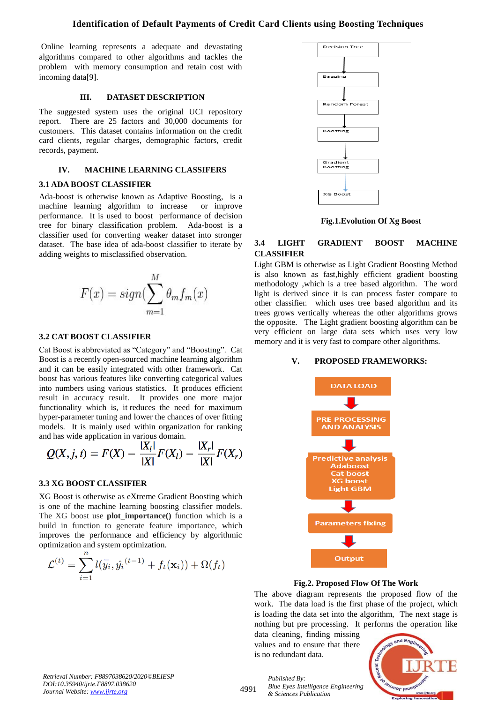# **Identification of Default Payments of Credit Card Clients using Boosting Techniques**

Online learning represents a adequate and devastating algorithms compared to other algorithms and tackles the problem with memory consumption and retain cost with incoming data[9].

# **III. DATASET DESCRIPTION**

The suggested system uses the original UCI repository report. There are 25 factors and 30,000 documents for customers. This dataset contains information on the credit card clients, regular charges, demographic factors, credit records, payment.

# **IV. MACHINE LEARNING CLASSIFERS**

#### **3.1 ADA BOOST CLASSIFIER**

Ada-boost is otherwise known as Adaptive Boosting, is a machine learning algorithm to increase or improve performance. It is used to boost performance of decision tree for binary classification problem. Ada-boost is a classifier used for converting weaker dataset into stronger dataset. The base idea of ada-boost classifier to iterate by adding weights to misclassified observation.



## **3.2 CAT BOOST CLASSIFIER**

Cat Boost is abbreviated as "Category" and "Boosting". Cat Boost is a recently open-sourced machine learning algorithm and it can be easily integrated with other framework. Cat boost has various features like converting categorical values into numbers using various statistics. It produces efficient result in accuracy result. It provides one more major functionality which is, it reduces the need for maximum hyper-parameter tuning and lower the chances of over fitting models. It is mainly used within organization for ranking and has wide application in various domain.

$$
Q(X, j, t) = F(X) - \frac{|X_l|}{|X|}F(X_l) - \frac{|X_r|}{|X|}F(X_r)
$$

#### **3.3 XG BOOST CLASSIFIER**

XG Boost is otherwise as eXtreme Gradient Boosting which is one of the machine learning boosting classifier models. The XG boost use **plot\_importance()** function which is a build in function to generate feature importance, which improves the performance and efficiency by algorithmic optimization and system optimization.

$$
\mathcal{L}^{(t)} = \sum_{i=1}^{n} l(\overline{y}_i, \hat{y}_i^{(t-1)} + f_t(\mathbf{x}_i)) + \Omega(f_t)
$$



**Fig.1.Evolution Of Xg Boost**

# **3.4 LIGHT GRADIENT BOOST MACHINE CLASSIFIER**

Light GBM is otherwise as Light Gradient Boosting Method is also known as fast,highly efficient gradient boosting methodology ,which is a tree based algorithm. The word light is derived since it is can process faster compare to other classifier. which uses tree based algorithm and its trees grows vertically whereas the other algorithms grows the opposite. The Light gradient boosting algorithm can be very efficient on large data sets which uses very low memory and it is very fast to compare other algorithms.

#### **V. PROPOSED FRAMEWORKS:**



#### **Fig.2. Proposed Flow Of The Work**

The above diagram represents the proposed flow of the work. The data load is the first phase of the project, which is loading the data set into the algorithm, The next stage is nothing but pre processing. It performs the operation like

data cleaning, finding missing values and to ensure that there is no redundant data.



*Retrieval Number: F8897038620/2020©BEIESP DOI:10.35940/ijrte.F8897.038620 Journal Website: www.ijrte.org*

4991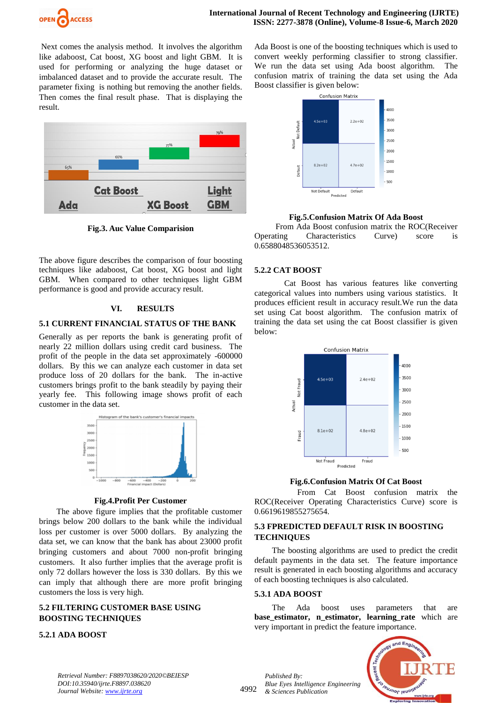

Next comes the analysis method. It involves the algorithm like adaboost, Cat boost, XG boost and light GBM. It is used for performing or analyzing the huge dataset or imbalanced dataset and to provide the accurate result. The parameter fixing is nothing but removing the another fields. Then comes the final result phase. That is displaying the result.



**Fig.3. Auc Value Comparision**

The above figure describes the comparison of four boosting techniques like adaboost, Cat boost, XG boost and light GBM. When compared to other techniques light GBM performance is good and provide accuracy result.

## **VI. RESULTS**

## **5.1 CURRENT FINANCIAL STATUS OF THE BANK**

Generally as per reports the bank is generating profit of nearly 22 million dollars using credit card business. The profit of the people in the data set approximately -600000 dollars. By this we can analyze each customer in data set produce loss of 20 dollars for the bank. The in-active customers brings profit to the bank steadily by paying their yearly fee. This following image shows profit of each customer in the data set.



### **Fig.4.Profit Per Customer**

The above figure implies that the profitable customer brings below 200 dollars to the bank while the individual loss per customer is over 5000 dollars. By analyzing the data set, we can know that the bank has about 23000 profit bringing customers and about 7000 non-profit bringing customers. It also further implies that the average profit is only 72 dollars however the loss is 330 dollars. By this we can imply that although there are more profit bringing customers the loss is very high.

# **5.2 FILTERING CUSTOMER BASE USING BOOSTING TECHNIQUES**

#### **5.2.1 ADA BOOST**

Ada Boost is one of the boosting techniques which is used to convert weekly performing classifier to strong classifier. We run the data set using Ada boost algorithm. The confusion matrix of training the data set using the Ada Boost classifier is given below:



**Fig.5.Confusion Matrix Of Ada Boost**

From Ada Boost confusion matrix the ROC(Receiver Operating Characteristics Curve) score is 0.6588048536053512.

## **5.2.2 CAT BOOST**

Cat Boost has various features like converting categorical values into numbers using various statistics. It produces efficient result in accuracy result.We run the data set using Cat boost algorithm. The confusion matrix of training the data set using the cat Boost classifier is given below:



**Fig.6.Confusion Matrix Of Cat Boost**

From Cat Boost confusion matrix the ROC(Receiver Operating Characteristics Curve) score is 0.6619619855275654.

# **5.3 FPREDICTED DEFAULT RISK IN BOOSTING TECHNIQUES**

The boosting algorithms are used to predict the credit default payments in the data set. The feature importance result is generated in each boosting algorithms and accuracy of each boosting techniques is also calculated.

#### **5.3.1 ADA BOOST**

The Ada boost uses parameters that are **base\_estimator, n\_estimator, learning\_rate** which are very important in predict the feature importance.



*Retrieval Number: F8897038620/2020©BEIESP DOI:10.35940/ijrte.F8897.038620 Journal Website: www.ijrte.org*

4992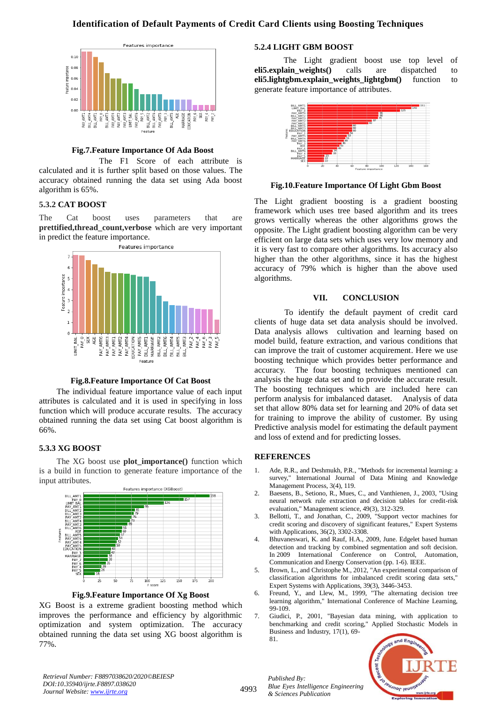# **Identification of Default Payments of Credit Card Clients using Boosting Techniques**



## **Fig.7.Feature Importance Of Ada Boost**

The F1 Score of each attribute is calculated and it is further split based on those values. The accuracy obtained running the data set using Ada boost algorithm is 65%.

## **5.3.2 CAT BOOST**

The Cat boost uses parameters that are **prettified,thread\_count,verbose** which are very important in predict the feature importance.



#### **Fig.8.Feature Importance Of Cat Boost**

The individual feature importance value of each input attributes is calculated and it is used in specifying in loss function which will produce accurate results. The accuracy obtained running the data set using Cat boost algorithm is 66%.

#### **5.3.3 XG BOOST**

The XG boost use **plot\_importance()** function which is a build in function to generate feature importance of the input attributes.



**Fig.9.Feature Importance Of Xg Boost**

XG Boost is a extreme gradient boosting method which improves the performance and efficiency by algorithmic optimization and system optimization. The accuracy obtained running the data set using XG boost algorithm is 77%.

# **5.2.4 LIGHT GBM BOOST**

The Light gradient boost use top level of **eli5.explain\_weights()** calls are dispatched to **eli5.lightgbm.explain\_weights\_lightgbm()** function to generate feature importance of attributes.



#### **Fig.10.Feature Importance Of Light Gbm Boost**

The Light gradient boosting is a gradient boosting framework which uses tree based algorithm and its trees grows vertically whereas the other algorithms grows the opposite. The Light gradient boosting algorithm can be very efficient on large data sets which uses very low memory and it is very fast to compare other algorithms. Its accuracy also higher than the other algorithms, since it has the highest accuracy of 79% which is higher than the above used algorithms.

#### **VII. CONCLUSION**

To identify the default payment of credit card clients of huge data set data analysis should be involved. Data analysis allows cultivation and learning based on model build, feature extraction, and various conditions that can improve the trait of customer acquirement. Here we use boosting technique which provides better performance and accuracy. The four boosting techniques mentioned can analysis the huge data set and to provide the accurate result. The boosting techniques which are included here can perform analysis for imbalanced dataset. Analysis of data set that allow 80% data set for learning and 20% of data set for training to improve the ability of customer. By using Predictive analysis model for estimating the default payment and loss of extend and for predicting losses.

#### **REFERENCES**

- 1. Ade, R.R., and Deshmukh, P.R., "Methods for incremental learning: a survey," International Journal of Data Mining and Knowledge Management Process, 3(4), 119.
- 2. Baesens, B., Setiono, R., Mues, C., and Vanthienen, J., 2003, "Using neural network rule extraction and decision tables for credit-risk evaluation," Management science, 49(3), 312-329.
- 3. Bellotti, T., and Jonathan, C., 2009, "Support vector machines for credit scoring and discovery of significant features," Expert Systems with Applications, 36(2), 3302-3308.
- 4. Bhuvaneswari, K. and Rauf, H.A., 2009, June. Edgelet based human detection and tracking by combined segmentation and soft decision. In 2009 International Conference on Control, Automation, Communication and Energy Conservation (pp. 1-6). IEEE.
- 5. Brown, L., and Christophe M., 2012, "An experimental comparison of classification algorithms for imbalanced credit scoring data sets," Expert Systems with Applications, 39(3), 3446-3453.
- 6. Freund, Y., and Llew, M., 1999, "The alternating decision tree learning algorithm," International Conference of Machine Learning, 99-109.
- 7. Giudici, P., 2001, "Bayesian data mining, with application to benchmarking and credit scoring," Applied Stochastic Models in Business and Industry, 17(1), 69- 81.



*Retrieval Number: F8897038620/2020©BEIESP DOI:10.35940/ijrte.F8897.038620 Journal Website: www.ijrte.org*

4993